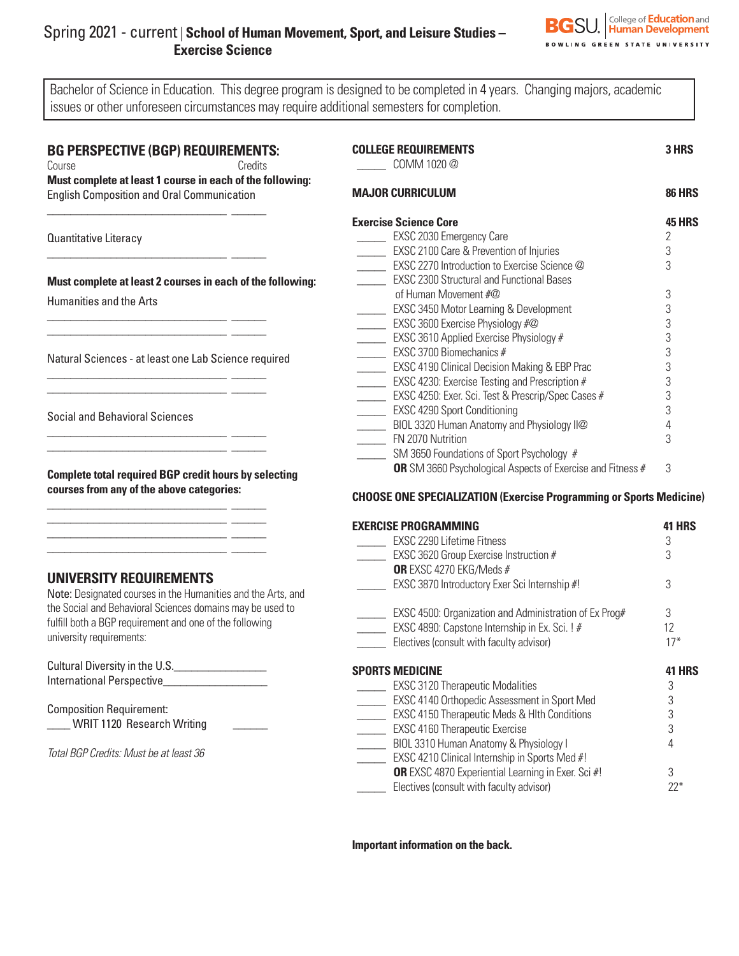## Spring 2021 - current | **School of Human Movement, Sport, and Leisure Studies – Exercise Science**



Bachelor of Science in Education. This degree program is designed to be completed in 4 years. Changing majors, academic issues or other unforeseen circumstances may require additional semesters for completion.

| BG PERSPECTIVE (BGP) REQUIREMENTS:<br>Course<br>Credits                                                        | <b>COLLEGE REQUIREMENTS</b><br>COMM 1020 @                                 | 3 HRS         |
|----------------------------------------------------------------------------------------------------------------|----------------------------------------------------------------------------|---------------|
| Must complete at least 1 course in each of the following:<br><b>English Composition and Oral Communication</b> | <b>MAJOR CURRICULUM</b>                                                    | <b>86 HRS</b> |
|                                                                                                                | <b>Exercise Science Core</b>                                               | 45 HRS        |
| Quantitative Literacy                                                                                          | <b>EXSC 2030 Emergency Care</b>                                            | 2             |
|                                                                                                                | <b>EXSC 2100 Care &amp; Prevention of Injuries</b>                         | 3             |
|                                                                                                                | EXSC 2270 Introduction to Exercise Science @                               | 3             |
| Must complete at least 2 courses in each of the following:                                                     | <b>EXSC 2300 Structural and Functional Bases</b>                           |               |
| <b>Humanities and the Arts</b>                                                                                 | of Human Movement #@                                                       | 3             |
|                                                                                                                | <b>EXSC 3450 Motor Learning &amp; Development</b>                          | 3             |
|                                                                                                                | EXSC 3600 Exercise Physiology #@                                           | 3             |
|                                                                                                                | <b>EXSC 3610 Applied Exercise Physiology #</b>                             | 3             |
| Natural Sciences - at least one Lab Science required                                                           | <b>EXSC 3700 Biomechanics #</b>                                            | 3             |
|                                                                                                                | <b>EXSC 4190 Clinical Decision Making &amp; EBP Prac</b>                   | 3             |
|                                                                                                                | <b>EXSC 4230: Exercise Testing and Prescription #</b>                      | 3             |
| <b>Social and Behavioral Sciences</b>                                                                          | EXSC 4250: Exer. Sci. Test & Prescrip/Spec Cases #                         | 3             |
|                                                                                                                | <b>EXSC 4290 Sport Conditioning</b>                                        | 3<br>4        |
|                                                                                                                | BIOL 3320 Human Anatomy and Physiology II@<br>FN 2070 Nutrition            | 3             |
|                                                                                                                | SM 3650 Foundations of Sport Psychology #                                  |               |
|                                                                                                                | <b>OR</b> SM 3660 Psychological Aspects of Exercise and Fitness #          | 3             |
| <b>Complete total required BGP credit hours by selecting</b>                                                   |                                                                            |               |
| courses from any of the above categories:                                                                      | <b>CHOOSE ONE SPECIALIZATION (Exercise Programming or Sports Medicine)</b> |               |
|                                                                                                                | <b>EXERCISE PROGRAMMING</b>                                                | <b>41 HRS</b> |
|                                                                                                                | <b>EXSC 2290 Lifetime Fitness</b>                                          | 3             |
|                                                                                                                | <b>EXSC 3620 Group Exercise Instruction #</b>                              | 3             |
|                                                                                                                | OR EXSC 4270 EKG/Meds #                                                    |               |
| UNIVERSITY REQUIREMENTS                                                                                        | EXSC 3870 Introductory Exer Sci Internship #!                              | 3             |
| Note: Designated courses in the Humanities and the Arts, and                                                   |                                                                            |               |
| the Social and Behavioral Sciences domains may be used to                                                      | <b>EXSC 4500: Organization and Administration of Ex Prog#</b>              | 3             |
| fulfill both a BGP requirement and one of the following                                                        | EXSC 4890: Capstone Internship in Ex. Sci. ! #                             | 12            |
| university requirements:                                                                                       | Electives (consult with faculty advisor)                                   | $17*$         |
| Cultural Diversity in the U.S.                                                                                 | <b>SPORTS MEDICINE</b>                                                     | <b>41 HRS</b> |
| International Perspective_                                                                                     | <b>EXSC 3120 Therapeutic Modalities</b>                                    | 3             |
|                                                                                                                | EXSC 4140 Orthopedic Assessment in Sport Med                               |               |
| <b>Composition Requirement:</b>                                                                                | EXSC 4150 Therapeutic Meds & HIth Conditions                               |               |
| WRIT 1120 Research Writing                                                                                     | EXSC 4160 Therapeutic Exercise                                             |               |
| Total BGP Credits: Must be at least 36                                                                         | BIOL 3310 Human Anatomy & Physiology I                                     |               |
|                                                                                                                | EXSC 4210 Clinical Internship in Sports Med #!                             |               |
|                                                                                                                | <b>OR</b> EXSC 4870 Experiential Learning in Exer. Sci #!                  | 3             |
|                                                                                                                | Electives (consult with faculty advisor)                                   | $22*$         |

**Important information on the back.**